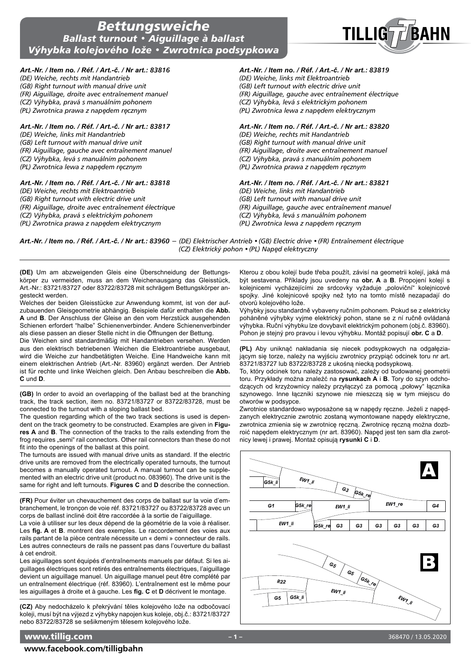# *Güterwagen Bettungsweiche Ballast turnout • Aiguillage à ballast Výhybka kolejového lože • Zwrotnica podsypkowa*



## *Art.-Nr. / Item no. / Réf. / Art.-č. / Nr art.: 83816*

*(DE) Weiche, rechts mit Handantrieb* 

- *(GB) Right turnout with manual drive unit*
- *(FR) Aiguillage, droite avec entraînement manuel*
- *(CZ) Výhybka, pravá s manuálním pohonem (PL) Zwrotnica prawa z napędem ręcznym*
- 

## *Art.-Nr. / Item no. / Réf. / Art.-č. / Nr art.: 83817*

*(DE) Weiche, links mit Handantrieb (GB) Left turnout with manual drive unit (FR) Aiguillage, gauche avec entraînement manuel (CZ) Výhybka, levá s manuálním pohonem (PL) Zwrotnica lewa z napędem ręcznym*

## *Art.-Nr. / Item no. / Réf. / Art.-č. / Nr art.: 83818*

*(DE) Weiche, rechts mit Elektroantrieb* 

*(GB) Right turnout with electric drive unit*

- *(FR) Aiguillage, droite avec entraînement électrique*
- *(CZ) Výhybka, pravá s elektrickým pohonem*
- *(PL) Zwrotnica prawa z napędem elektrycznym*

### *Art.-Nr. / Item no. / Réf. / Art.-č. / Nr art.: 83819*

*(DE) Weiche, links mit Elektroantrieb* 

- *(GB) Left turnout with electric drive unit*
- *(FR) Aiguillage, gauche avec entraînement électrique (CZ) Výhybka, levá s elektrickým pohonem*
- *(PL) Zwrotnica lewa z napędem elektrycznym*

### *Art.-Nr. / Item no. / Réf. / Art.-č. / Nr art.: 83820*

*(DE) Weiche, rechts mit Handantrieb (GB) Right turnout with manual drive unit (FR) Aiguillage, droite avec entraînement manuel (CZ) Výhybka, pravá s manuálním pohonem (PL) Zwrotnica prawa z napędem ręcznym*

### *Art.-Nr. / Item no. / Réf. / Art.-č. / Nr art.: 83821*

*(DE) Weiche, links mit Handantrieb*

- *(GB) Left turnout with manual drive unit*
- *(FR) Aiguillage, gauche avec entraînement manuel*

*(CZ) Výhybka, levá s manuálním pohonem*

*(PL) Zwrotnica lewa z napędem ręcznym*

*Art.-Nr. / Item no. / Réf. / Art.-č. / Nr art.: 83960 − (DE) Elektrischer Antrieb • (GB) Electric drive • (FR) Entraînement électrique (CZ) Elektrický pohon • (PL) Napęd elektryczny*

**(DE)** Um am abzweigenden Gleis eine Überschneidung der Bettungskörper zu vermeiden, muss an dem Weichenausgang das Gleisstück, Art.-Nr.: 83721/83727 oder 83722/83728 mit schrägem Bettungskörper angesteckt werden.

Welches der beiden Gleisstücke zur Anwendung kommt, ist von der aufzubauenden Gleisgeometrie abhängig. Beispiele dafür enthalten die **Abb. A** und **B**. Der Anschluss der Gleise an den vom Herzstück ausgehenden Schienen erfordert "halbe" Schienenverbinder. Andere Schienenverbinder als diese passen an dieser Stelle nicht in die Öffnungen der Bettung.

Die Weichen sind standardmäßig mit Handantrieben versehen. Werden aus den elektrisch betriebenen Weichen die Elektroantriebe ausgebaut, wird die Weiche zur handbetätigten Weiche. Eine Handweiche kann mit einem elektrischen Antrieb (Art.-Nr. 83960) ergänzt werden. Der Antrieb ist für rechte und linke Weichen gleich. Den Anbau beschreiben die **Abb. C** und **D**.

**(GB)** In order to avoid an overlapping of the ballast bed at the branching track, the track section, item no. 83721/83727 or 83722/83728, must be connected to the turnout with a sloping ballast bed.

The question regarding which of the two track sections is used is dependent on the track geometry to be constructed. Examples are given in **Figures A** and **B**. The connection of the tracks to the rails extending from the frog requires "semi" rail connectors. Other rail connectors than these do not fit into the openings of the ballast at this point.

The turnouts are issued with manual drive units as standard. If the electric drive units are removed from the electrically operated turnouts, the turnout becomes a manually operated turnout. A manual turnout can be supplemented with an electric drive unit (product no. 083960). The drive unit is the same for right and left turnouts. **Figures C** and **D** describe the connection.

**(FR)** Pour éviter un chevauchement des corps de ballast sur la voie d'embranchement, le tronçon de voie réf. 83721/83727 ou 83722/83728 avec un corps de ballast incliné doit être raccordée à la sortie de l'aiguillage.

La voie à utiliser sur les deux dépend de la géométrie de la voie à réaliser. Les **fig. A** et **B**. montrent des exemples. Le raccordement des voies aux rails partant de la pièce centrale nécessite un « demi » connecteur de rails. Les autres connecteurs de rails ne passent pas dans l'ouverture du ballast à cet endroit.

Les aiguillages sont équipés d'entraînements manuels par défaut. Si les aiguillages électriques sont retirés des entraînements électriques, l'aiguillage devient un aiguillage manuel. Un aiguillage manuel peut être complété par un entraînement électrique (réf. 83960). L'entraînement est le même pour les aiguillages à droite et à gauche. Les **fig. C** et **D** décrivent le montage.

**(CZ)** Aby nedocházelo k překrývání těles kolejového lože na odbočovací koleji, musí být na výjezd z výhybky napojen kus koleje, obj.č.: 83721/83727 nebo 83722/83728 se sešikmeným tělesem kolejového lože.

Kterou z obou kolejí bude třeba použít, závisí na geometrii kolejí, jaká má být sestavena. Příklady jsou uvedeny na **obr. A** a **B**. Propojení kolejí s kolejnicemi vycházejícími ze srdcovky vyžaduje "poloviční" kolejnicové spojky. Jiné kolejnicové spojky než tyto na tomto místě nezapadají do otvorů kolejového lože.

Výhybky jsou standardně vybaveny ručním pohonem. Pokud se z elektricky poháněné výhybky vyjme elektrický pohon, stane se z ní ručně ovládaná výhybka. Ruční výhybku lze dovybavit elektrickým pohonem (obj.č. 83960). Pohon je stejný pro pravou i levou výhybku. Montáž popisují **obr. C** a **D**.

**(PL)** Aby uniknąć nakładania się niecek podsypkowych na odgałęziającym się torze, należy na wyjściu zwrotnicy przypiąć odcinek toru nr art. 83721/83727 lub 83722/83728 z ukośną niecką podsypkową.

To, który odcinek toru należy zastosować, zależy od budowanej geometrii toru. Przykłady można znaleźć na **rysunkach A** i **B**. Tory do szyn odchodzących od krzyżownicy należy przyłączyć za pomocą "połowy" łącznika szynowego. Inne łączniki szynowe nie mieszczą się w tym miejscu do otworów w podsypce.

Zwrotnice standardowo wyposażone są w napędy ręczne. Jeżeli z napędzanych elektrycznie zwrotnic zostaną wymontowane napędy elektryczne, zwrotnica zmienia się w zwrotnicę ręczną. Zwrotnicę ręczną można dozbroić napędem elektrycznym (nr art. 83960). Napęd jest ten sam dla zwrotnicy lewej i prawej. Montaż opisują **rysunki C** i **D**.

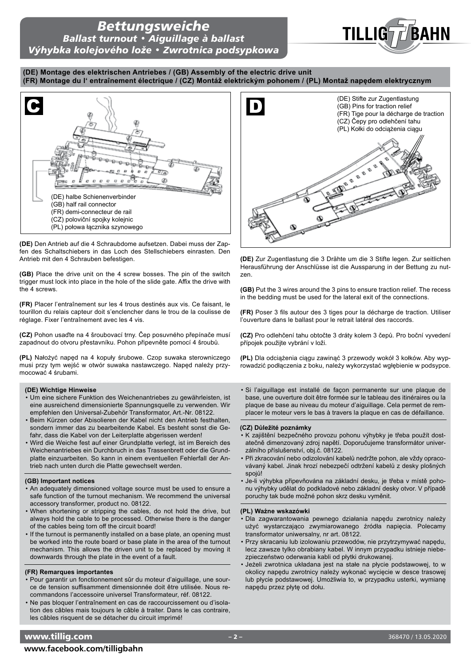## *Güterwagen Bettungsweiche Ballast turnout • Aiguillage à ballast Výhybka kolejového lože • Zwrotnica podsypkowa*



## **(DE) Montage des elektrischen Antriebes / (GB) Assembly of the electric drive unit (FR) Montage du l' entraînement électrique / (CZ) Montáž elektrickým pohonem / (PL) Montaž napędem elektrycznym**



**(DE)** Den Antrieb auf die 4 Schraubdome aufsetzen. Dabei muss der Zapfen des Schaltschiebers in das Loch des Stellschiebers einrasten. Den Antrieb mit den 4 Schrauben befestigen.

**(GB)** Place the drive unit on the 4 screw bosses. The pin of the switch trigger must lock into place in the hole of the slide gate. Affix the drive with the 4 screws.

**(FR)** Placer l'entraînement sur les 4 trous destinés aux vis. Ce faisant, le tourillon du relais capteur doit s'enclencher dans le trou de la coulisse de réglage. Fixer l'entraînement avec les 4 vis.

**(CZ)** Pohon usaďte na 4 šroubovací trny. Čep posuvného přepínače musí zapadnout do otvoru přestavníku. Pohon připevněte pomocí 4 šroubů.

**(PL)** Nałożyć napęd na 4 kopuły śrubowe. Czop suwaka sterowniczego musi przy tym wejść w otwór suwaka nastawczego. Napęd należy przymocować 4 śrubami.

#### **(DE) Wichtige Hinweise**

- Um eine sichere Funktion des Weichenantriebes zu gewährleisten, ist eine ausreichend dimensionierte Spannungsquelle zu verwenden. Wir empfehlen den Universal-Zubehör Transformator, Art.-Nr. 08122.
- Beim Kürzen oder Abisolieren der Kabel nicht den Antrieb festhalten, sondern immer das zu bearbeitende Kabel. Es besteht sonst die Gefahr, dass die Kabel von der Leiterplatte abgerissen werden!
- Wird die Weiche fest auf einer Grundplatte verlegt, ist im Bereich des Weichenantriebes ein Durchbruch in das Trassenbrett oder die Grundplatte einzuarbeiten. So kann in einem eventuellen Fehlerfall der Antrieb nach unten durch die Platte gewechselt werden.

#### **(GB) Important notices**

- An adequately dimensioned voltage source must be used to ensure a safe function of the turnout mechanism. We recommend the universal accessory transformer, product no. 08122.
- When shortening or stripping the cables, do not hold the drive, but always hold the cable to be processed. Otherwise there is the danger of the cables being torn off the circuit board!
- If the turnout is permanently installed on a base plate, an opening must be worked into the route board or base plate in the area of the turnout mechanism. This allows the driven unit to be replaced by moving it downwards through the plate in the event of a fault.

#### **(FR) Remarques importantes**

- Pour garantir un fonctionnement sûr du moteur d'aiguillage, une source de tension suffisamment dimensionnée doit être utilisée. Nous recommandons l'accessoire universel Transformateur, réf. 08122.
- Ne pas bloquer l'entraînement en cas de raccourcissement ou d'isolation des câbles mais toujours le câble à traiter. Dans le cas contraire, les câbles risquent de se détacher du circuit imprimé!



**(DE)** Zur Zugentlastung die 3 Drähte um die 3 Stifte legen. Zur seitlichen Herausführung der Anschlüsse ist die Aussparung in der Bettung zu nutzen.

**(GB)** Put the 3 wires around the 3 pins to ensure traction relief. The recess in the bedding must be used for the lateral exit of the connections.

**(FR)** Poser 3 fils autour des 3 tiges pour la décharge de traction. Utiliser l'ouverture dans le ballast pour le retrait latéral des raccords.

**(CZ)** Pro odlehčení tahu obtočte 3 dráty kolem 3 čepů. Pro boční vyvedení přípojek použijte vybrání v loži.

**(PL)** Dla odciążenia ciągu zawinąć 3 przewody wokół 3 kołków. Aby wyprowadzić podłączenia z boku, należy wykorzystać wgłębienie w podsypce.

• Si l'aiguillage est installé de façon permanente sur une plaque de base, une ouverture doit être formée sur le tableau des itinéraires ou la plaque de base au niveau du moteur d'aiguillage. Cela permet de remplacer le moteur vers le bas à travers la plaque en cas de défaillance.

#### **(CZ) Důležité poznámky**

- K zajištění bezpečného provozu pohonu výhybky je třeba použít dostatečně dimenzovaný zdroj napětí. Doporučujeme transformátor univerzálního příslušenství, obj.č. 08122.
- Při zkracování nebo odizolování kabelů nedržte pohon, ale vždy opracovávaný kabel. Jinak hrozí nebezpečí odtržení kabelů z desky plošných spojů!
- Je-li výhybka připevňována na základní desku, je třeba v místě pohonu výhybky udělat do podkladové nebo základní desky otvor. V případě poruchy tak bude možné pohon skrz desku vyměnit.

#### **(PL) Ważne wskazówki**

- Dla zagwarantowania pewnego działania napędu zwrotnicy należy użyć wystarczająco zwymiarowanego źródła napięcia. Polecamy transformator uniwersalny, nr art. 08122.
- Przy skracaniu lub izolowaniu przewodów, nie przytrzymywać napędu, lecz zawsze tylko obrabiany kabel. W innym przypadku istnieje niebezpieczeństwo oderwania kabli od płytki drukowanej.
- Jeżeli zwrotnica układana jest na stałe na płycie podstawowej, to w okolicy napędu zwrotnicy należy wykonać wycięcie w desce trasowej lub płycie podstawowej. Umożliwia to, w przypadku usterki, wymianę napędu przez płytę od dołu.

**www.facebook.com/tilligbahn**